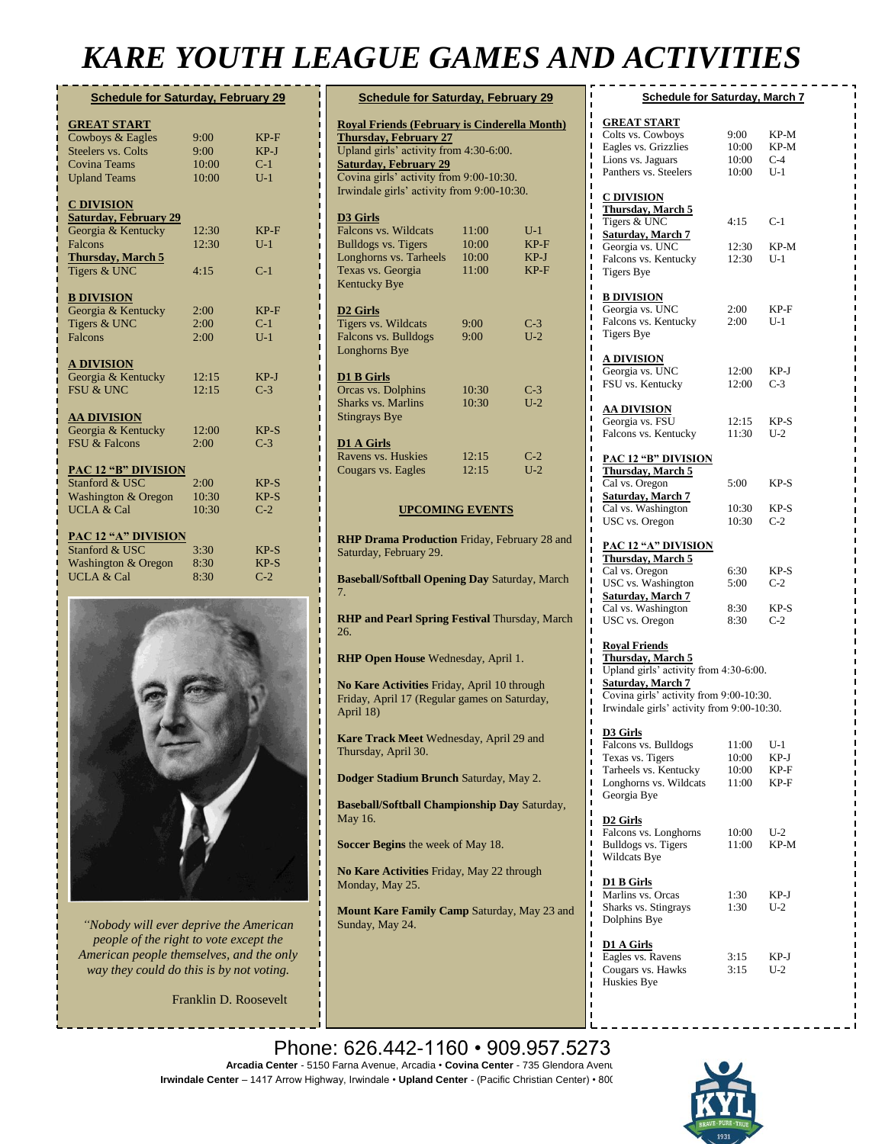## *KARE YOUTH LEAGUE GAMES AND ACTIVITIES*

| <b>Schedule for Saturday, February 29</b>     |       |        |  |  |
|-----------------------------------------------|-------|--------|--|--|
|                                               |       |        |  |  |
| <b>GREAT START</b>                            | 9:00  | $KP-F$ |  |  |
| Cowboys & Eagles<br><b>Steelers vs. Colts</b> | 9:00  | $KP-J$ |  |  |
| <b>Covina Teams</b>                           | 10:00 | $C-1$  |  |  |
| <b>Upland Teams</b>                           | 10:00 | $U-1$  |  |  |
|                                               |       |        |  |  |
| <b>C DIVISION</b>                             |       |        |  |  |
| <b>Saturday, February 29</b>                  |       |        |  |  |
| Georgia & Kentucky                            | 12:30 | $KP-F$ |  |  |
| Falcons                                       | 12:30 | $U-1$  |  |  |
| <b>Thursday, March 5</b>                      |       |        |  |  |
| Tigers & UNC                                  | 4:15  | $C-1$  |  |  |
|                                               |       |        |  |  |
| <b>B DIVISION</b>                             |       |        |  |  |
| Georgia & Kentucky                            | 2:00  | $KP-F$ |  |  |
| Tigers & UNC                                  | 2:00  | $C-1$  |  |  |
| Falcons                                       | 2:00  | $U-1$  |  |  |
|                                               |       |        |  |  |
| <b>A DIVISION</b>                             |       |        |  |  |
| Georgia & Kentucky                            | 12:15 | $KP-J$ |  |  |
| <b>FSU &amp; UNC</b>                          | 12:15 | $C-3$  |  |  |
|                                               |       |        |  |  |
| <b>AA DIVISION</b>                            |       |        |  |  |
| Georgia & Kentucky                            | 12:00 | $KP-S$ |  |  |
| <b>FSU &amp; Falcons</b>                      | 2:00  | $C-3$  |  |  |
|                                               |       |        |  |  |
| <b>PAC 12 "B" DIVISION</b><br>Stanford & USC  | 2:00  | $KP-S$ |  |  |
| Washington & Oregon                           | 10:30 | $KP-S$ |  |  |
| <b>UCLA &amp; Cal</b>                         | 10:30 | $C-2$  |  |  |
|                                               |       |        |  |  |
| <b>PAC 12 "A" DIVISION</b>                    |       |        |  |  |
| Stanford & USC                                | 3:30  | $KP-S$ |  |  |
| <b>Washington &amp; Oregon</b>                | 8:30  | $KP-S$ |  |  |
| <b>UCLA &amp; Cal</b>                         | 8:30  | $C-2$  |  |  |
|                                               |       |        |  |  |



*"Nobody will ever deprive the American people of the right to vote except the American people themselves, and the only way they could do this is by not voting.*

Franklin D. Roosevelt

| <b>Schedule for Saturday, February 29</b>           |       |        |  |
|-----------------------------------------------------|-------|--------|--|
| <b>Royal Friends (February is Cinderella Month)</b> |       |        |  |
| <b>Thursday, February 27</b>                        |       |        |  |
| Upland girls' activity from 4:30-6:00.              |       |        |  |
| <b>Saturday, February 29</b>                        |       |        |  |
| Covina girls' activity from 9:00-10:30.             |       |        |  |
| Irwindale girls' activity from 9:00-10:30.          |       |        |  |
| D3 Girls                                            |       |        |  |
| Falcons vs. Wildcats                                | 11:00 | $U-1$  |  |
| <b>Bulldogs vs. Tigers</b>                          | 10:00 | $KP-F$ |  |
| Longhorns vs. Tarheels                              | 10:00 | $KP-J$ |  |
| Texas vs. Georgia                                   | 11:00 | $KP-F$ |  |
| <b>Kentucky Bye</b>                                 |       |        |  |
| D <sub>2</sub> Girls                                |       |        |  |
| Tigers vs. Wildcats                                 | 9:00  | $C-3$  |  |
| <b>Falcons vs. Bulldogs</b>                         | 9:00  | $U-2$  |  |
| Longhorns Bye                                       |       |        |  |
| D1 B Girls                                          |       |        |  |
| Orcas vs. Dolphins                                  | 10:30 | $C-3$  |  |
| <b>Sharks vs. Marlins</b>                           | 10:30 | $U-2$  |  |
| <b>Stingrays Bye</b>                                |       |        |  |
| D1 A Girls                                          |       |        |  |
| Ravens vs. Huskies                                  | 12:15 | $C-2$  |  |
| Cougars vs. Eagles                                  | 12:15 | $U-2$  |  |
|                                                     |       |        |  |
| <b>UPCOMING EVENTS</b>                              |       |        |  |

**RHP Drama Production** Friday, February 28 and Saturday, February 29.

**Baseball/Softball Opening Day** Saturday, March 7.

**RHP and Pearl Spring Festival** Thursday, March 26.

**RHP Open House** Wednesday, April 1.

**No Kare Activities** Friday, April 10 through Friday, April 17 (Regular games on Saturday, April 18)

**Kare Track Meet** Wednesday, April 29 and Thursday, April 30.

**Dodger Stadium Brunch** Saturday, May 2.

**Baseball/Softball Championship Day** Saturday, May 16.

**Soccer Begins** the week of May 18.

**No Kare Activities** Friday, May 22 through Monday, May 25.

**Mount Kare Family Camp** Saturday, May 23 and Sunday, May 24.

| <b>Schedule for Saturday, March 7</b>                                                                                                                                                                  |                |               |  |
|--------------------------------------------------------------------------------------------------------------------------------------------------------------------------------------------------------|----------------|---------------|--|
| <b>GREAT START</b>                                                                                                                                                                                     |                |               |  |
| Colts vs. Cowboys                                                                                                                                                                                      | 9:00           | KP-M          |  |
| Eagles vs. Grizzlies                                                                                                                                                                                   | 10:00          | KP-M          |  |
| Lions vs. Jaguars<br>Panthers vs. Steelers                                                                                                                                                             | 10:00<br>10:00 | C-4<br>$U-1$  |  |
|                                                                                                                                                                                                        |                |               |  |
| <b>C DIVISION</b><br>Thursday, March 5                                                                                                                                                                 |                |               |  |
| ı<br>Tigers & UNC                                                                                                                                                                                      | 4:15           | $C-1$         |  |
| <b>Saturday</b> , March 7                                                                                                                                                                              |                |               |  |
| Georgia vs. UNC                                                                                                                                                                                        | 12:30          | KP-M          |  |
| Falcons vs. Kentucky                                                                                                                                                                                   | 12:30          | U-1           |  |
| <b>Tigers Bye</b>                                                                                                                                                                                      |                |               |  |
| <b>B DIVISION</b>                                                                                                                                                                                      |                |               |  |
| Georgia vs. UNC<br>Falcons vs. Kentucky                                                                                                                                                                | 2:00<br>2:00   | KP-F<br>$U-1$ |  |
| <b>Tigers Bye</b>                                                                                                                                                                                      |                |               |  |
| <b>A DIVISION</b>                                                                                                                                                                                      |                |               |  |
| Georgia vs. UNC                                                                                                                                                                                        | 12:00          | KP-J          |  |
| FSU vs. Kentucky                                                                                                                                                                                       | 12:00          | $C-3$         |  |
|                                                                                                                                                                                                        |                |               |  |
| <b>AA DIVISION</b><br>Georgia vs. FSU                                                                                                                                                                  | 12:15          |               |  |
| Falcons vs. Kentucky                                                                                                                                                                                   | 11:30          | KP-S<br>$U-2$ |  |
|                                                                                                                                                                                                        |                |               |  |
| <b>PAC 12 "B" DIVISION</b><br>Thursday, March 5                                                                                                                                                        |                |               |  |
| Cal vs. Oregon                                                                                                                                                                                         | 5:00           | KP-S          |  |
| <b>Saturday, March 7</b>                                                                                                                                                                               |                |               |  |
| Cal vs. Washington                                                                                                                                                                                     | 10:30          | KP-S          |  |
| USC vs. Oregon                                                                                                                                                                                         | 10:30          | $C-2$         |  |
| <b>PAC 12 "A" DIVISION</b>                                                                                                                                                                             |                |               |  |
| <b>Thursday</b> , March 5                                                                                                                                                                              |                |               |  |
| Cal vs. Oregon<br>ı                                                                                                                                                                                    | 6:30           | KP-S          |  |
| USC vs. Washington<br><b>Saturday, March 7</b>                                                                                                                                                         | 5:00           | $C-2$         |  |
| Cal vs. Washington                                                                                                                                                                                     | 8:30           | KP-S          |  |
| USC vs. Oregon                                                                                                                                                                                         | 8:30           | $C-2$         |  |
| ı<br><b>Royal Friends</b><br>Thursday, March 5<br>Upland girls' activity from 4:30-6:00.<br>Saturday, March 7<br>Covina girls' activity from 9:00-10:30.<br>Irwindale girls' activity from 9:00-10:30. |                |               |  |
| <b>D3</b> Girls                                                                                                                                                                                        |                |               |  |
| ı<br>Falcons vs. Bulldogs<br>ı                                                                                                                                                                         | 11:00          | $_{U-1}$      |  |
| Texas vs. Tigers<br>ı                                                                                                                                                                                  | 10:00          | KP-J          |  |
| Tarheels vs. Kentucky<br>ı<br>Longhorns vs. Wildcats<br>ı                                                                                                                                              | 10:00<br>11:00 | KP-F<br>KP-F  |  |
| I<br>Georgia Bye<br>ı                                                                                                                                                                                  |                |               |  |
| I<br><u>D2 Girls</u><br>I                                                                                                                                                                              |                |               |  |
| Falcons vs. Longhorns<br>I                                                                                                                                                                             | 10:00          | $U-2$         |  |
| I<br>Bulldogs vs. Tigers                                                                                                                                                                               | 11:00          | KP-M          |  |
| I<br>Wildcats Bye<br>ı                                                                                                                                                                                 |                |               |  |
| ı<br><b>D1 B Girls</b><br>I                                                                                                                                                                            |                |               |  |
| I<br>Marlins vs. Orcas<br>ı                                                                                                                                                                            | 1:30           | KP-J          |  |
| Sharks vs. Stingrays<br>I<br>Dolphins Bye<br>ı                                                                                                                                                         | 1:30           | $U-2$         |  |
| I                                                                                                                                                                                                      |                |               |  |
| ı<br><b>D1 A Girls</b><br>I<br>Eagles vs. Ravens                                                                                                                                                       | 3:15           | KP-J          |  |
| ı<br>Cougars vs. Hawks<br>ı                                                                                                                                                                            | 3:15           | U-2           |  |
| Huskies Bye<br>ı                                                                                                                                                                                       |                |               |  |

Phone: 626.442-1160 • 909.957.5273 **Arcadia Center** - 5150 Farna Avenue, Arcadia • Covina Center - 735 Glendora Avenu Irwindale Center - 1417 Arrow Highway, Irwindale • Upland Center - (Pacific Christian Center) • 800